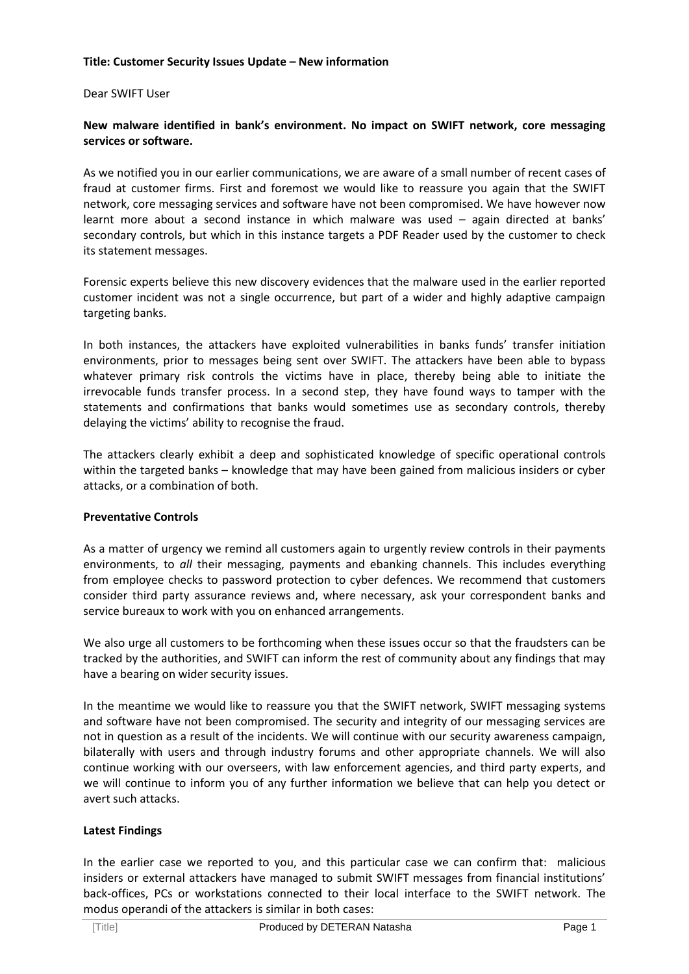#### **Title: Customer Security Issues Update – New information**

Dear SWIFT User

# **New malware identified in bank's environment. No impact on SWIFT network, core messaging services or software.**

As we notified you in our earlier communications, we are aware of a small number of recent cases of fraud at customer firms. First and foremost we would like to reassure you again that the SWIFT network, core messaging services and software have not been compromised. We have however now learnt more about a second instance in which malware was used – again directed at banks' secondary controls, but which in this instance targets a PDF Reader used by the customer to check its statement messages.

Forensic experts believe this new discovery evidences that the malware used in the earlier reported customer incident was not a single occurrence, but part of a wider and highly adaptive campaign targeting banks.

In both instances, the attackers have exploited vulnerabilities in banks funds' transfer initiation environments, prior to messages being sent over SWIFT. The attackers have been able to bypass whatever primary risk controls the victims have in place, thereby being able to initiate the irrevocable funds transfer process. In a second step, they have found ways to tamper with the statements and confirmations that banks would sometimes use as secondary controls, thereby delaying the victims' ability to recognise the fraud.

The attackers clearly exhibit a deep and sophisticated knowledge of specific operational controls within the targeted banks – knowledge that may have been gained from malicious insiders or cyber attacks, or a combination of both.

# **Preventative Controls**

As a matter of urgency we remind all customers again to urgently review controls in their payments environments, to *all* their messaging, payments and ebanking channels. This includes everything from employee checks to password protection to cyber defences. We recommend that customers consider third party assurance reviews and, where necessary, ask your correspondent banks and service bureaux to work with you on enhanced arrangements.

We also urge all customers to be forthcoming when these issues occur so that the fraudsters can be tracked by the authorities, and SWIFT can inform the rest of community about any findings that may have a bearing on wider security issues.

In the meantime we would like to reassure you that the SWIFT network, SWIFT messaging systems and software have not been compromised. The security and integrity of our messaging services are not in question as a result of the incidents. We will continue with our security awareness campaign, bilaterally with users and through industry forums and other appropriate channels. We will also continue working with our overseers, with law enforcement agencies, and third party experts, and we will continue to inform you of any further information we believe that can help you detect or avert such attacks.

# **Latest Findings**

In the earlier case we reported to you, and this particular case we can confirm that: malicious insiders or external attackers have managed to submit SWIFT messages from financial institutions' back-offices, PCs or workstations connected to their local interface to the SWIFT network. The modus operandi of the attackers is similar in both cases: